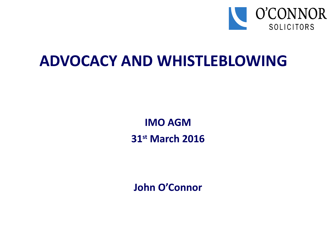

# **ADVOCACY AND WHISTLEBLOWING**

**IMO AGM 31st March 2016**

**John O'Connor**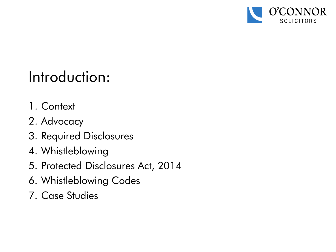

# Introduction:

- 1. Context
- 2. Advocacy
- 3. Required Disclosures
- 4. Whistleblowing
- 5. Protected Disclosures Act, 2014
- 6. Whistleblowing Codes
- 7. Case Studies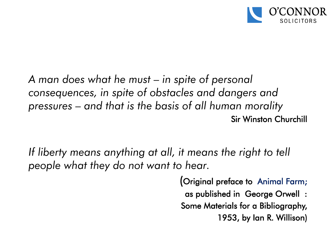

*A man does what he must – in spite of personal consequences, in spite of obstacles and dangers and pressures – and that is the basis of all human morality* Sir Winston Churchill

*If liberty means anything at all, it means the right to tell people what they do not want to hear.* 

> (Original preface to Animal Farm; as published in George Orwell : Some Materials for a Bibliography, 1953, by Ian R. Willison)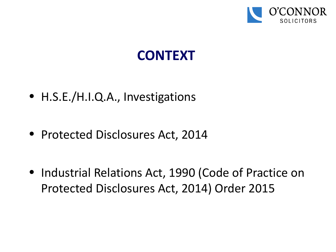

# **CONTEXT**

- H.S.E./H.I.Q.A., Investigations
- Protected Disclosures Act, 2014
- Industrial Relations Act, 1990 (Code of Practice on Protected Disclosures Act, 2014) Order 2015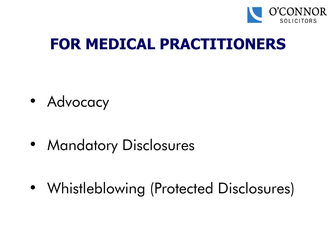

# **FOR MEDICAL PRACTITIONERS**

• Advocacy

• Mandatory Disclosures

• Whistleblowing (Protected Disclosures)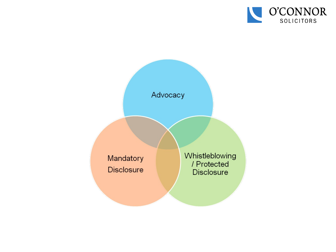

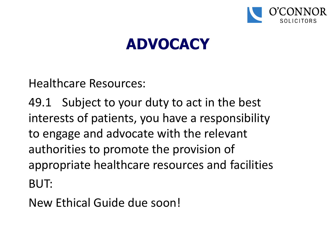

# **ADVOCACY**

Healthcare Resources:

49.1 Subject to your duty to act in the best interests of patients, you have a responsibility to engage and advocate with the relevant authorities to promote the provision of appropriate healthcare resources and facilities BUT:

New Ethical Guide due soon!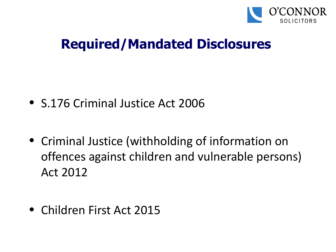

# **Required/Mandated Disclosures**

- S.176 Criminal Justice Act 2006
- Criminal Justice (withholding of information on offences against children and vulnerable persons) Act 2012
- Children First Act 2015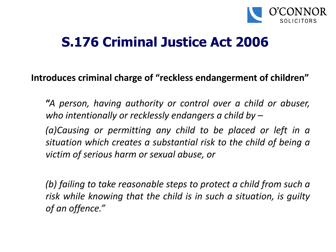

## **S.176 Criminal Justice Act 2006**

#### **Introduces criminal charge of "reckless endangerment of children"**

**"***A person, having authority or control over a child or abuser, who intentionally or recklessly endangers a child by –*

*(a)Causing or permitting any child to be placed or left in a situation which creates a substantial risk to the child of being a victim of serious harm or sexual abuse, or*

*(b) failing to take reasonable steps to protect a child from such a risk while knowing that the child is in such a situation, is guilty of an offence."*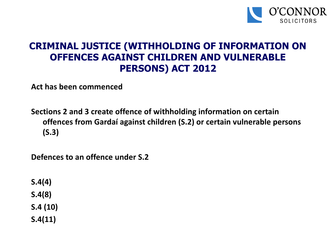

#### **CRIMINAL JUSTICE (WITHHOLDING OF INFORMATION ON OFFENCES AGAINST CHILDREN AND VULNERABLE PERSONS) ACT 2012**

**Act has been commenced**

**Sections 2 and 3 create offence of withholding information on certain offences from Gardaí against children (S.2) or certain vulnerable persons (S.3)**

**Defences to an offence under S.2**

**S.4(4) S.4(8) S.4 (10) S.4(11)**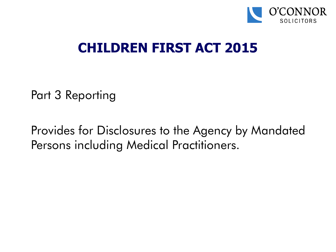

# **CHILDREN FIRST ACT 2015**

Part 3 Reporting

Provides for Disclosures to the Agency by Mandated Persons including Medical Practitioners.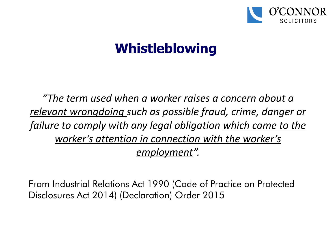

# **Whistleblowing**

*"The term used when a worker raises a concern about a relevant wrongdoing such as possible fraud, crime, danger or failure to comply with any legal obligation which came to the worker's attention in connection with the worker's employment".*

From Industrial Relations Act 1990 (Code of Practice on Protected Disclosures Act 2014) (Declaration) Order 2015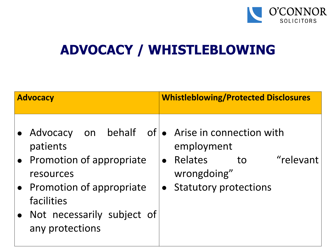

# **ADVOCACY / WHISTLEBLOWING**

| <b>Advocacy</b>                                                                                                                                                | <b>Whistleblowing/Protected Disclosures</b>                                                                                                                  |
|----------------------------------------------------------------------------------------------------------------------------------------------------------------|--------------------------------------------------------------------------------------------------------------------------------------------------------------|
| Advocacy<br>patients<br>• Promotion of appropriate<br>resources<br>• Promotion of appropriate<br>facilities<br>• Not necessarily subject of<br>any protections | on behalf of • Arise in connection with<br>employment<br>"relevant<br>Relates<br>to<br>$\bullet$<br>wrongdoing"<br><b>Statutory protections</b><br>$\bullet$ |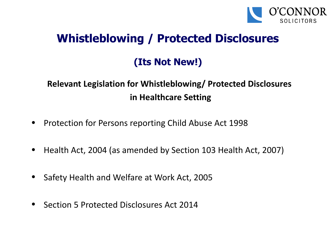

### **Whistleblowing / Protected Disclosures**

### **(Its Not New!)**

### **Relevant Legislation for Whistleblowing/ Protected Disclosures in Healthcare Setting**

- Protection for Persons reporting Child Abuse Act 1998
- Health Act, 2004 (as amended by Section 103 Health Act, 2007)
- Safety Health and Welfare at Work Act, 2005
- Section 5 Protected Disclosures Act 2014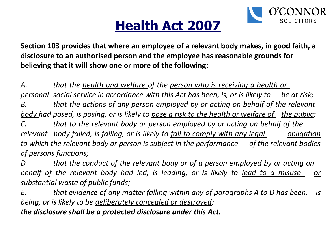

# **Health Act 2007**

**Section 103 provides that where an employee of a relevant body makes, in good faith, a disclosure to an authorised person and the employee has reasonable grounds for believing that it will show one or more of the following**:

*A. that the health and welfare of the person who is receiving a health or personal social service in accordance with this Act has been, is, or is likely to be at risk; B. that the actions of any person employed by or acting on behalf of the relevant body had posed, is posing, or is likely to <u>pose a risk to the health or welfare of</u> the public; C. that to the relevant body or person employed by or acting on behalf of the relevant* body failed, is failing, or is likely to <u>fail to comply with any legal</u> <u>obligation</u> *to which the relevant body or person is subject in the performance of the relevant bodies of persons functions;*

*D. that the conduct of the relevant body or of a person employed by or acting on behalf of the relevant body had led, is leading, or is likely to lead to a misuse or substantial waste of public funds;*

*E. that evidence of any matter falling within any of paragraphs A to D has been, is being, or is likely to be deliberately concealed or destroyed;*

*the disclosure shall be a protected disclosure under this Act.*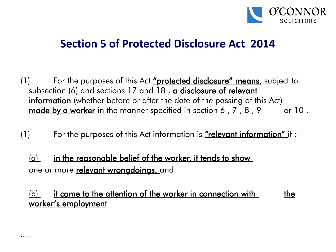

### **Section 5 of Protected Disclosure Act 2014**

- (1) For the purposes of this Act <u>"protected disclosure" means</u>, subject to subsection (6) and sections 17 and 18, a disclosure of relevant information (whether before or after the date of the passing of this Act) made by a worker in the manner specified in section 6,  $7$ ,  $8$ ,  $9$  or  $10$ .
- (1) For the purposes of this Act information is <u>"relevant information"</u> if  $\cdot$ -
	- $\alpha$  in the reasonable belief of the worker, it tends to show one or more **relevant wrongdoings**, and

 $(b)$  it came to the attention of the worker in connection with the worker's employment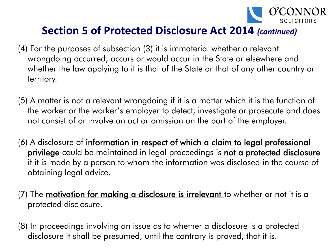

### **Section 5 of Protected Disclosure Act 2014** *(continued)*

- (4) For the purposes of subsection (3) it is immaterial whether a relevant wrongdoing occurred, occurs or would occur in the State or elsewhere and whether the law applying to it is that of the State or that of any other country or territory.
- (5) A matter is not a relevant wrongdoing if it is a matter which it is the function of the worker or the worker's employer to detect, investigate or prosecute and does not consist of or involve an act or omission on the part of the employer.
- (6) A disclosure of *information in respect of which a claim to legal professional* **privilege** could be maintained in legal proceedings is **not a protected disclosure** if it is made by a person to whom the information was disclosed in the course of obtaining legal advice.
- (7) The <u>m**otivation for making a disclosure is irrelevant** t</u>o whether or not it is a protected disclosure.
- (8) In proceedings involving an issue as to whether a disclosure is a protected disclosure it shall be presumed, until the contrary is proved, that it is.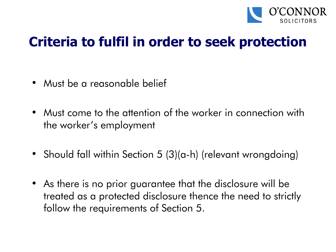

# **Criteria to fulfil in order to seek protection**

- Must be a reasonable belief
- Must come to the attention of the worker in connection with the worker's employment
- Should fall within Section 5 (3)(a-h) (relevant wrongdoing)
- As there is no prior guarantee that the disclosure will be treated as a protected disclosure thence the need to strictly follow the requirements of Section 5.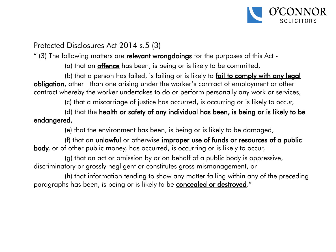

#### Protected Disclosures Act 2014 s.5 (3)

" (3) The following matters are relevant wrongdoings for the purposes of this Act -

(a) that an **offence** has been, is being or is likely to be committed,

(b) that a person has failed, is failing or is likely to fail to comply with any legal obligation, other than one arising under the worker's contract of employment or other contract whereby the worker undertakes to do or perform personally any work or services,

(c) that a miscarriage of justice has occurred, is occurring or is likely to occur,

(d) that the health or safety of any individual has been, is being or is likely to be endangered,

(e) that the environment has been, is being or is likely to be damaged,

(f) that an *unlawful* or otherwise *improper use of funds or resources of a public* body, or of other public money, has occurred, is occurring or is likely to occur,

(g) that an act or omission by or on behalf of a public body is oppressive, discriminatory or grossly negligent or constitutes gross mismanagement, or

(h) that information tending to show any matter falling within any of the preceding paragraphs has been, is being or is likely to be **concealed or destroyed**."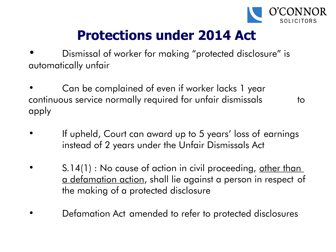

# **Protections under 2014 Act**

• Dismissal of worker for making "protected disclosure" is automatically unfair

• Can be complained of even if worker lacks 1 year continuous service normally required for unfair dismissals to apply

- If upheld, Court can award up to 5 years' loss of earnings instead of 2 years under the Unfair Dismissals Act
- S.14(1) : No cause of action in civil proceeding, other than a defamation action, shall lie against a person in respect of the making of a protected disclosure
- Defamation Act amended to refer to protected disclosures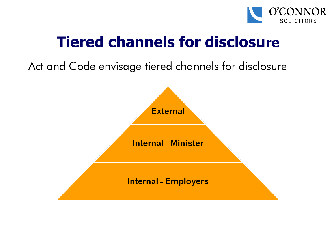

# **Tiered channels for disclosure**

Act and Code envisage tiered channels for disclosure

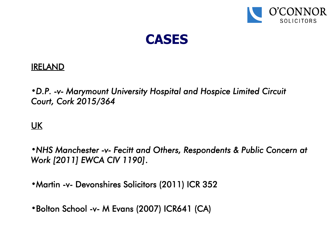



#### IRELAND

•*D.P. -v- Marymount University Hospital and Hospice Limited Circuit Court, Cork 2015/364* 

#### UK

•*NHS Manchester -v- Fecitt and Others, Respondents & Public Concern at Work [2011] EWCA CIV 1190]*.

•Martin -v- Devonshires Solicitors (2011) ICR 352

•Bolton School -v- M Evans (2007) ICR641 (CA)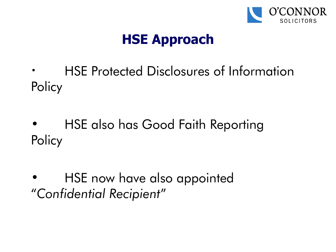

# **HSE Approach**

- HSE Protected Disclosures of Information **Policy**
- HSE also has Good Faith Reporting **Policy**
- HSE now have also appointed "*Confidential Recipient*"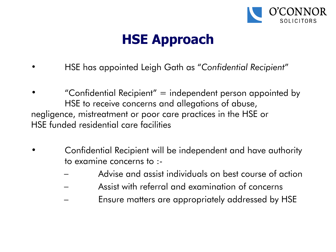

# **HSE Approach**

- HSE has appointed Leigh Gath as "*Confidential Recipient*"
- "Confidential Recipient"  $=$  independent person appointed by HSE to receive concerns and allegations of abuse, negligence, mistreatment or poor care practices in the HSE or HSE funded residential care facilities
- Confidential Recipient will be independent and have authority to examine concerns to :-
	- Advise and assist individuals on best course of action
	- Assist with referral and examination of concerns
	- Ensure matters are appropriately addressed by HSE